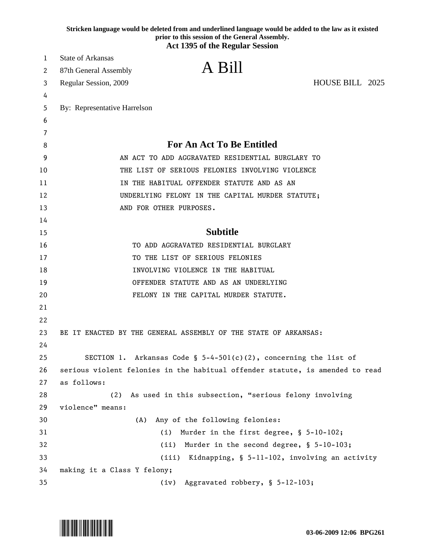|    | Stricken language would be deleted from and underlined language would be added to the law as it existed<br>prior to this session of the General Assembly.<br><b>Act 1395 of the Regular Session</b> |
|----|-----------------------------------------------------------------------------------------------------------------------------------------------------------------------------------------------------|
| 1  | State of Arkansas                                                                                                                                                                                   |
| 2  | A Bill<br>87th General Assembly                                                                                                                                                                     |
| 3  | HOUSE BILL 2025<br>Regular Session, 2009                                                                                                                                                            |
| 4  |                                                                                                                                                                                                     |
| 5  | By: Representative Harrelson                                                                                                                                                                        |
| 6  |                                                                                                                                                                                                     |
| 7  |                                                                                                                                                                                                     |
| 8  | <b>For An Act To Be Entitled</b>                                                                                                                                                                    |
| 9  | AN ACT TO ADD AGGRAVATED RESIDENTIAL BURGLARY TO                                                                                                                                                    |
| 10 | THE LIST OF SERIOUS FELONIES INVOLVING VIOLENCE                                                                                                                                                     |
| 11 | IN THE HABITUAL OFFENDER STATUTE AND AS AN                                                                                                                                                          |
| 12 | UNDERLYING FELONY IN THE CAPITAL MURDER STATUTE;                                                                                                                                                    |
| 13 | AND FOR OTHER PURPOSES.                                                                                                                                                                             |
| 14 |                                                                                                                                                                                                     |
| 15 | <b>Subtitle</b>                                                                                                                                                                                     |
| 16 | TO ADD AGGRAVATED RESIDENTIAL BURGLARY                                                                                                                                                              |
| 17 | TO THE LIST OF SERIOUS FELONIES                                                                                                                                                                     |
| 18 | INVOLVING VIOLENCE IN THE HABITUAL                                                                                                                                                                  |
| 19 | OFFENDER STATUTE AND AS AN UNDERLYING                                                                                                                                                               |
| 20 | FELONY IN THE CAPITAL MURDER STATUTE.                                                                                                                                                               |
| 21 |                                                                                                                                                                                                     |
| 22 |                                                                                                                                                                                                     |
| 23 | BE IT ENACTED BY THE GENERAL ASSEMBLY OF THE STATE OF ARKANSAS:                                                                                                                                     |
| 24 |                                                                                                                                                                                                     |
| 25 | SECTION 1. Arkansas Code § $5-4-501(c)(2)$ , concerning the list of                                                                                                                                 |
| 26 | serious violent felonies in the habitual offender statute, is amended to read                                                                                                                       |
| 27 | as follows:                                                                                                                                                                                         |
| 28 | As used in this subsection, "serious felony involving<br>(2)                                                                                                                                        |
| 29 | violence" means:                                                                                                                                                                                    |
| 30 | (A)<br>Any of the following felonies:                                                                                                                                                               |
| 31 | Murder in the first degree, § 5-10-102;<br>(i)                                                                                                                                                      |
| 32 | (ii)<br>Murder in the second degree, § 5-10-103;                                                                                                                                                    |
| 33 | Kidnapping, § 5-11-102, involving an activity<br>(iii)                                                                                                                                              |
| 34 | making it a Class Y felony;                                                                                                                                                                         |
| 35 | Aggravated robbery, § 5-12-103;<br>(iv)                                                                                                                                                             |

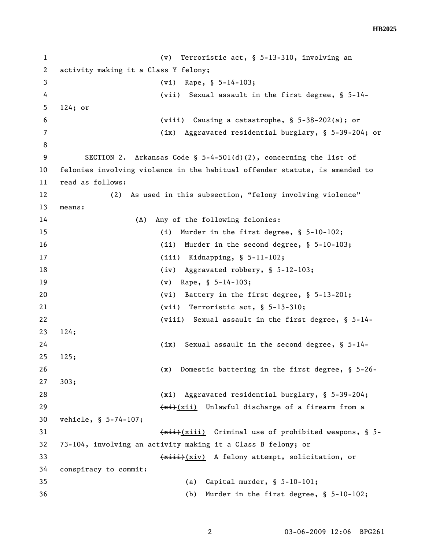## **HB2025**

1 (v) Terroristic act, § 5-13-310, involving an 2 activity making it a Class Y felony; 3 (vi) Rape, § 5-14-103; 4 (vii) Sexual assault in the first degree, § 5-14- 5 124; or 6 (viii) Causing a catastrophe, § 5-38-202(a); or 7 (ix) Aggravated residential burglary, § 5-39-204; or 8 9 SECTION 2. Arkansas Code § 5-4-501(d)(2), concerning the list of 10 felonies involving violence in the habitual offender statute, is amended to 11 read as follows: 12 (2) As used in this subsection, "felony involving violence" 13 means: 14 (A) Any of the following felonies: 15 (i) Murder in the first degree, § 5-10-102; 16 (ii) Murder in the second degree, § 5-10-103; 17 (iii) Kidnapping, § 5-11-102; 18 (iv) Aggravated robbery, § 5-12-103; 19 (v) Rape, § 5-14-103; 20 (vi) Battery in the first degree, § 5-13-201; 21 (vii) Terroristic act, § 5-13-310; 22 (viii) Sexual assault in the first degree, § 5-14- 23 124; 24 (ix) Sexual assault in the second degree, § 5-14- 25 125; 26 (x) Domestic battering in the first degree, § 5-26- 27 303; 28 (xi) Aggravated residential burglary, § 5-39-204; 29  $\leftarrow$   $\leftarrow$   $\leftarrow$   $\leftarrow$   $\leftarrow$   $\leftarrow$   $\leftarrow$   $\leftarrow$   $\leftarrow$   $\leftarrow$   $\leftarrow$   $\leftarrow$   $\leftarrow$   $\leftarrow$   $\leftarrow$   $\leftarrow$   $\leftarrow$   $\leftarrow$   $\leftarrow$   $\leftarrow$   $\leftarrow$   $\leftarrow$   $\leftarrow$   $\leftarrow$   $\leftarrow$   $\leftarrow$   $\leftarrow$   $\leftarrow$   $\leftarrow$   $\leftarrow$   $\leftarrow$   $\leftarrow$   $\leftarrow$   $\leftarrow$   $\leftarrow$   $\leftarrow$   $\$ 30 vehicle, § 5-74-107; 31 (xiii) Criminal use of prohibited weapons, § 5-32 73-104, involving an activity making it a Class B felony; or 33 (xiii)(xiv) A felony attempt, solicitation, or 34 conspiracy to commit: 35 (a) Capital murder, § 5-10-101; 36 (b) Murder in the first degree, § 5-10-102;